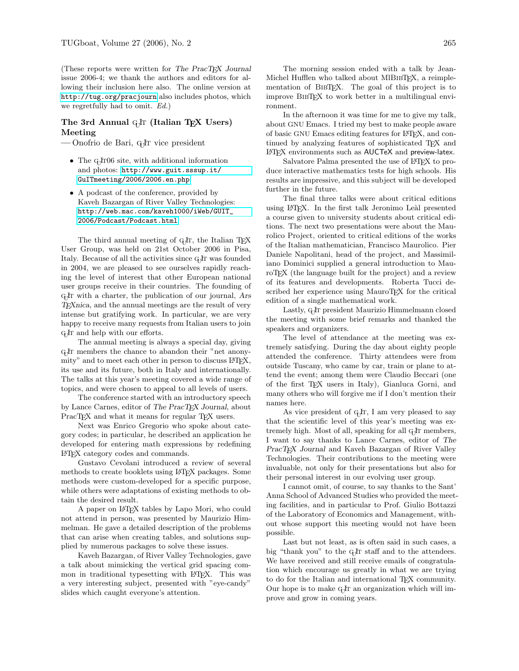(These reports were written for The PracTEX Journal issue 2006-4; we thank the authors and editors for allowing their inclusion here also. The online version at <http://tug.org/pracjourn> also includes photos, which we regretfully had to omit. Ed.)

## The 3rd Annual  $q_1$ Ir (Italian TEX Users) Meeting

— Onofrio de Bari, G<sub>I</sub>IT vice president

- The  $q_I$ IT06 site, with additional information and photos: [http://www.guit.sssup.it/](http://www.guit.sssup.it/GuITmeeting/2006/2006.en.php) [GuITmeeting/2006/2006.en.php](http://www.guit.sssup.it/GuITmeeting/2006/2006.en.php).
- A podcast of the conference, provided by Kaveh Bazargan of River Valley Technologies: [http://web.mac.com/kaveh1000/iWeb/GUIT\\_](http://web.mac.com/kaveh1000/iWeb/GUIT_2006/Podcast/Podcast.html) [2006/Podcast/Podcast.html](http://web.mac.com/kaveh1000/iWeb/GUIT_2006/Podcast/Podcast.html).

The third annual meeting of G<sub>U</sub>T, the Italian T<sub>E</sub>X User Group, was held on 21st October 2006 in Pisa, Italy. Because of all the activities since G<sub>I</sub>IT was founded in 2004, we are pleased to see ourselves rapidly reaching the level of interest that other European national user groups receive in their countries. The founding of G<sub>I</sub>IT with a charter, the publication of our journal, Ars TEXnica, and the annual meetings are the result of very intense but gratifying work. In particular, we are very happy to receive many requests from Italian users to join G<sub>J</sub>IT and help with our efforts.

The annual meeting is always a special day, giving GHT members the chance to abandon their "net anonymity" and to meet each other in person to discuss LATFX, its use and its future, both in Italy and internationally. The talks at this year's meeting covered a wide range of topics, and were chosen to appeal to all levels of users.

The conference started with an introductory speech by Lance Carnes, editor of The PracT<sub>EX</sub> Journal, about PracT<sub>EX</sub> and what it means for regular T<sub>EX</sub> users.

Next was Enrico Gregorio who spoke about category codes; in particular, he described an application he developed for entering math expressions by redefining LATEX category codes and commands.

Gustavo Cevolani introduced a review of several methods to create booklets using LATEX packages. Some methods were custom-developed for a specific purpose, while others were adaptations of existing methods to obtain the desired result.

A paper on L<sup>AT</sup>EX tables by Lapo Mori, who could not attend in person, was presented by Maurizio Himmelman. He gave a detailed description of the problems that can arise when creating tables, and solutions supplied by numerous packages to solve these issues.

Kaveh Bazargan, of River Valley Technologies, gave a talk about mimicking the vertical grid spacing common in traditional typesetting with L<sup>AT</sup>EX. This was a very interesting subject, presented with "eye-candy" slides which caught everyone's attention.

The morning session ended with a talk by Jean-Michel Hufflen who talked about MlBIBTFX, a reimplementation of BIBT<sub>EX</sub>. The goal of this project is to improve BibTEX to work better in a multilingual environment.

In the afternoon it was time for me to give my talk, about GNU Emacs. I tried my best to make people aware of basic GNU Emacs editing features for LAT<sub>E</sub>X, and continued by analyzing features of sophisticated TEX and L<sup>AT</sup>FX environments such as AUCTeX and preview-latex.

Salvatore Palma presented the use of LAT<sub>EX</sub> to produce interactive mathematics tests for high schools. His results are impressive, and this subject will be developed further in the future.

The final three talks were about critical editions using LAT<sub>EX</sub>. In the first talk Jeronimo Leàl presented a course given to university students about critical editions. The next two presentations were about the Maurolico Project, oriented to critical editions of the works of the Italian mathematician, Francisco Maurolico. Pier Daniele Napolitani, head of the project, and Massimiliano Dominici supplied a general introduction to MauroTEX (the language built for the project) and a review of its features and developments. Roberta Tucci described her experience using MauroTEX for the critical edition of a single mathematical work.

Lastly, G<sub>J</sub>IT president Maurizio Himmelmann closed the meeting with some brief remarks and thanked the speakers and organizers.

The level of attendance at the meeting was extremely satisfying. During the day about eighty people attended the conference. Thirty attendees were from outside Tuscany, who came by car, train or plane to attend the event; among them were Claudio Beccari (one of the first TEX users in Italy), Gianluca Gorni, and many others who will forgive me if I don't mention their names here.

As vice president of  $q<sub>j</sub>Ir$ , I am very pleased to say that the scientific level of this year's meeting was extremely high. Most of all, speaking for all G<sub>J</sub>IT members, I want to say thanks to Lance Carnes, editor of The PracT<sub>EX</sub> Journal and Kaveh Bazargan of River Valley Technologies. Their contributions to the meeting were invaluable, not only for their presentations but also for their personal interest in our evolving user group.

I cannot omit, of course, to say thanks to the Sant' Anna School of Advanced Studies who provided the meeting facilities, and in particular to Prof. Giulio Bottazzi of the Laboratory of Economics and Management, without whose support this meeting would not have been possible.

Last but not least, as is often said in such cases, a big "thank you" to the G<sub>I</sub>T staff and to the attendees. We have received and still receive emails of congratulation which encourage us greatly in what we are trying to do for the Italian and international T<sub>EX</sub> community. Our hope is to make G<sub>U</sub>T an organization which will improve and grow in coming years.